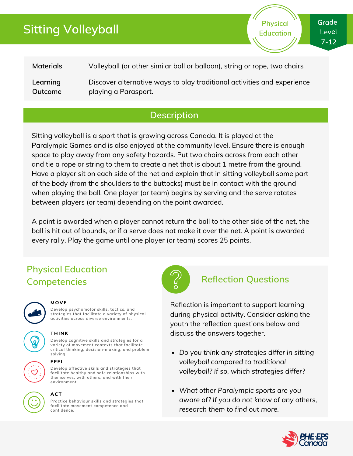# **Sitting Volleyball**

**Physical Education**

**Materials Learning Outcome** Volleyball (or other similar ball or balloon), string or rope, two chairs Discover alternative ways to play traditional activities and experience playing a Parasport.

### **Description**

Sitting volleyball is a sport that is growing across Canada. It is played at the Paralympic Games and is also enjoyed at the community level. Ensure there is enough space to play away from any safety hazards. Put two chairs across from each other and tie a rope or string to them to create a net that is about 1 metre from the ground. Have a player sit on each side of the net and explain that in sitting volleyball some part of the body (from the shoulders to the buttocks) must be in contact with the ground when playing the ball. One player (or team) begins by serving and the serve rotates between players (or team) depending on the point awarded.

A point is awarded when a player cannot return the ball to the other side of the net, the ball is hit out of bounds, or if a serve does not make it over the net. A point is awarded every rally. Play the game until one player (or team) scores 25 points.

## **Physical Education Competencies Reflection Questions**



#### **MOVE**

**Develop psychomotor skills, tactics, and strategies that facilitate a variety of physical activities across diverse environments.**

#### **THINK**

**Develop cognitive skills and strategies for a variety of movement contexts that facilitate critical thinking, decision-making, and problem solving.**

#### **FEEL**

**Develop affective skills and strategies that facilitate healthy and safe relationships with themselves, with others, and with their environment.**



### **ACT**

**Practice behaviour skills and strategies that facilitate movement competence and confidence.**



Reflection is important to support learning during physical activity. Consider asking the youth the reflection questions below and discuss the answers together.

- *Do you think any strategies differ in sitting volleyball compared to traditional volleyball? If so, which strategies differ?*
- *What other Paralympic sports are you aware of? If you do not know of any others, research them to find out more.*